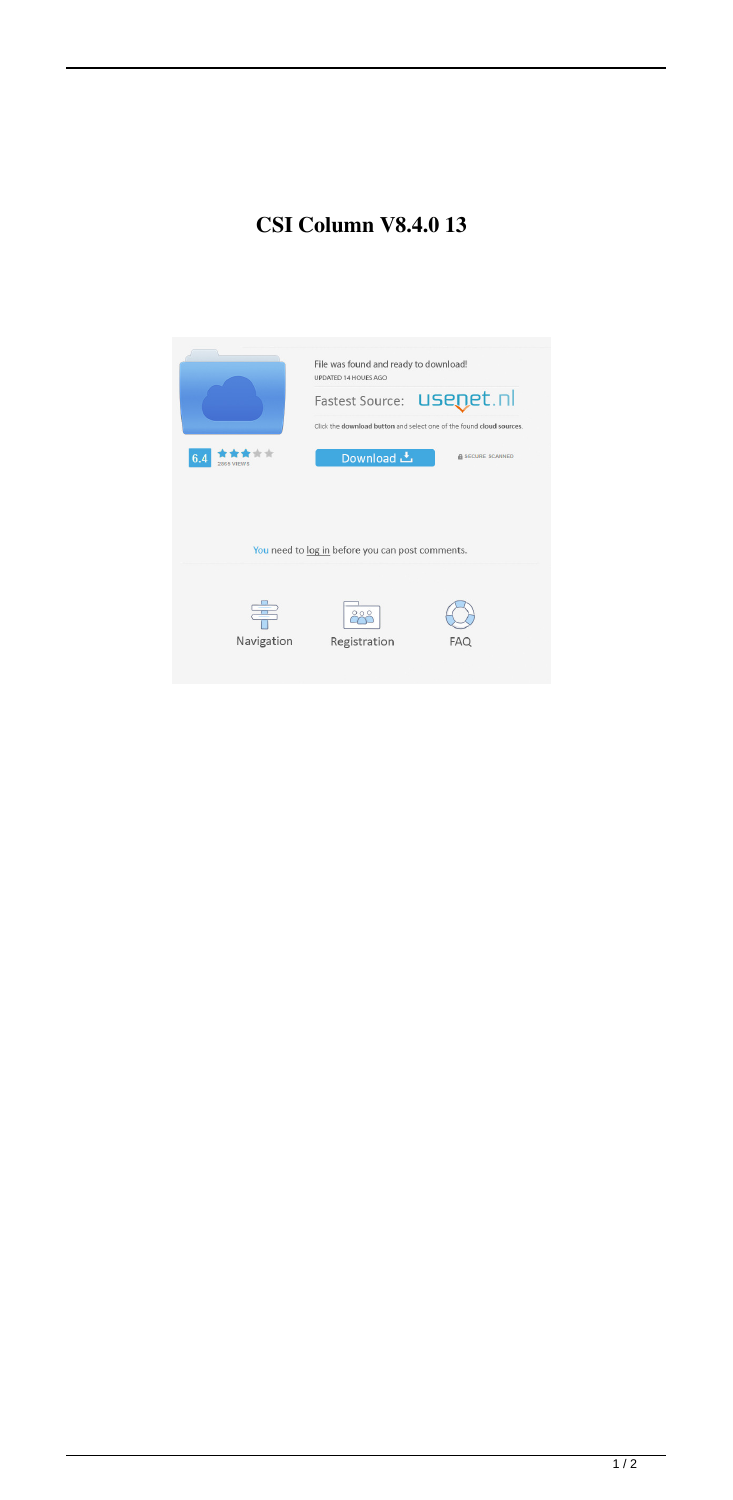## **CSI Column V8.4.0 13**